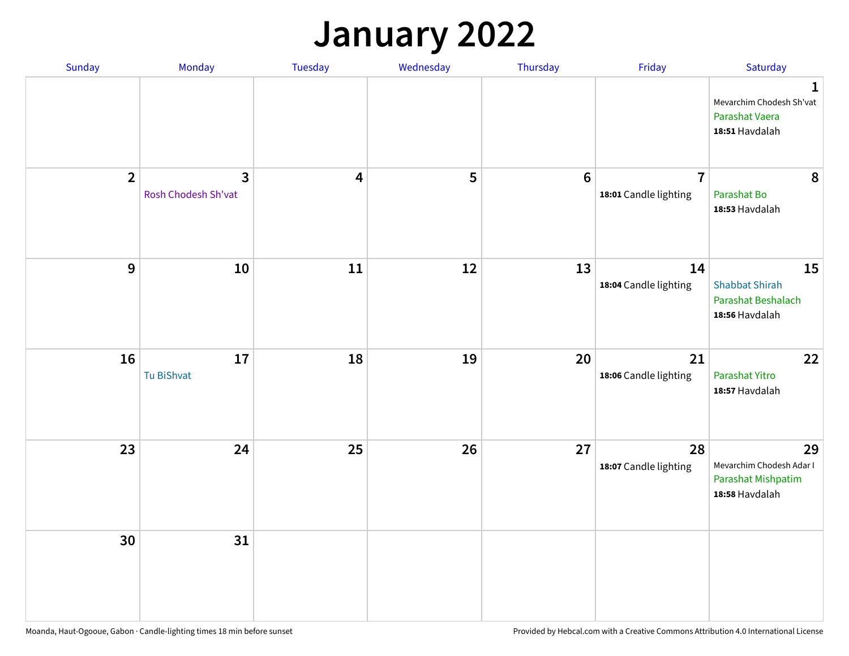### **January 2022**

| Sunday         | Monday                              | Tuesday                 | Wednesday | Thursday | Friday                                  | Saturday                                                                    |
|----------------|-------------------------------------|-------------------------|-----------|----------|-----------------------------------------|-----------------------------------------------------------------------------|
|                |                                     |                         |           |          |                                         | $\mathbf 1$<br>Mevarchim Chodesh Sh'vat<br>Parashat Vaera<br>18:51 Havdalah |
| $\overline{2}$ | $\mathbf{3}$<br>Rosh Chodesh Sh'vat | $\overline{\mathbf{4}}$ | 5         | $6\,$    | $\overline{7}$<br>18:01 Candle lighting | 8<br>Parashat Bo<br>18:53 Havdalah                                          |
| $\mathbf{9}$   | ${\bf 10}$                          | $11\,$                  | 12        | 13       | 14<br>18:04 Candle lighting             | 15<br><b>Shabbat Shirah</b><br>Parashat Beshalach<br>18:56 Havdalah         |
| 16             | 17<br>Tu BiShvat                    | 18                      | 19        | 20       | 21<br>18:06 Candle lighting             | 22<br>Parashat Yitro<br>18:57 Havdalah                                      |
| 23             | 24                                  | 25                      | 26        | 27       | 28<br>18:07 Candle lighting             | 29<br>Mevarchim Chodesh Adar I<br>Parashat Mishpatim<br>18:58 Havdalah      |
| 30             | 31                                  |                         |           |          |                                         |                                                                             |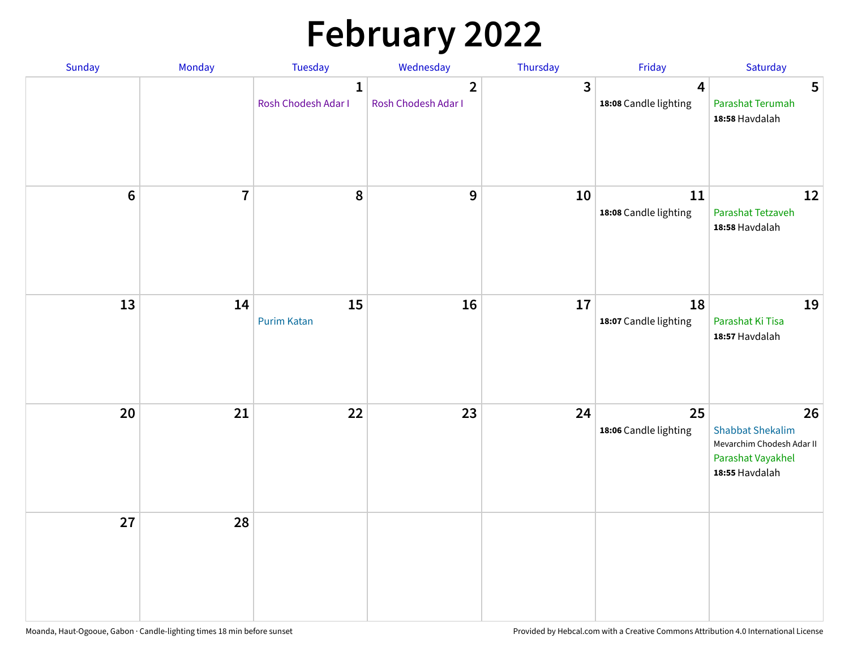# **February 2022**

| Sunday | Monday         | <b>Tuesday</b>                      | Wednesday                             | Thursday | Friday                                           | Saturday                                                                                          |
|--------|----------------|-------------------------------------|---------------------------------------|----------|--------------------------------------------------|---------------------------------------------------------------------------------------------------|
|        |                | $\mathbf{1}$<br>Rosh Chodesh Adar I | $\overline{2}$<br>Rosh Chodesh Adar I | 3        | $\overline{\mathbf{4}}$<br>18:08 Candle lighting | 5<br>Parashat Terumah<br>18:58 Havdalah                                                           |
| $6\,$  | $\overline{7}$ | 8                                   | 9                                     | 10       | 11<br>18:08 Candle lighting                      | 12<br>Parashat Tetzaveh<br>18:58 Havdalah                                                         |
| 13     | 14             | 15<br><b>Purim Katan</b>            | 16                                    | 17       | 18<br>18:07 Candle lighting                      | 19<br>Parashat Ki Tisa<br>18:57 Havdalah                                                          |
| 20     | 21             | 22                                  | 23                                    | 24       | 25<br>18:06 Candle lighting                      | 26<br><b>Shabbat Shekalim</b><br>Mevarchim Chodesh Adar II<br>Parashat Vayakhel<br>18:55 Havdalah |
| 27     | 28             |                                     |                                       |          |                                                  |                                                                                                   |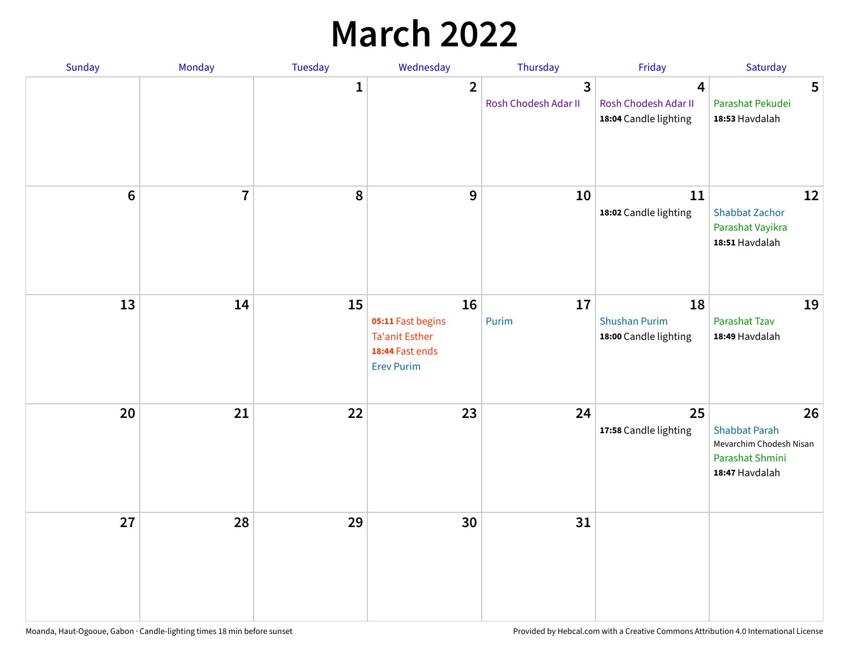## **March 2022**

| Sunday  | <b>Monday</b>  | <b>Tuesday</b> | Wednesday                                                                                | Thursday                                        | Friday                                              | Saturday                                                                                   |
|---------|----------------|----------------|------------------------------------------------------------------------------------------|-------------------------------------------------|-----------------------------------------------------|--------------------------------------------------------------------------------------------|
|         |                | $\mathbf{1}$   | $\overline{2}$                                                                           | $\overline{\mathbf{3}}$<br>Rosh Chodesh Adar II | 4<br>Rosh Chodesh Adar II<br>18:04 Candle lighting  | 5<br>Parashat Pekudei<br>18:53 Havdalah                                                    |
| $\bf 6$ | $\overline{7}$ | 8              | 9                                                                                        | 10                                              | 11<br>18:02 Candle lighting                         | 12<br><b>Shabbat Zachor</b><br>Parashat Vayikra<br>18:51 Havdalah                          |
| 13      | 14             | 15             | 16<br>05:11 Fast begins<br><b>Ta'anit Esther</b><br>18:44 Fast ends<br><b>Erev Purim</b> | 17<br>Purim                                     | 18<br><b>Shushan Purim</b><br>18:00 Candle lighting | 19<br>Parashat Tzav<br>18:49 Havdalah                                                      |
| 20      | 21             | 22             | 23                                                                                       | 24                                              | 25<br>17:58 Candle lighting                         | 26<br><b>Shabbat Parah</b><br>Mevarchim Chodesh Nisan<br>Parashat Shmini<br>18:47 Havdalah |
| 27      | 28             | 29             | 30                                                                                       | 31                                              |                                                     |                                                                                            |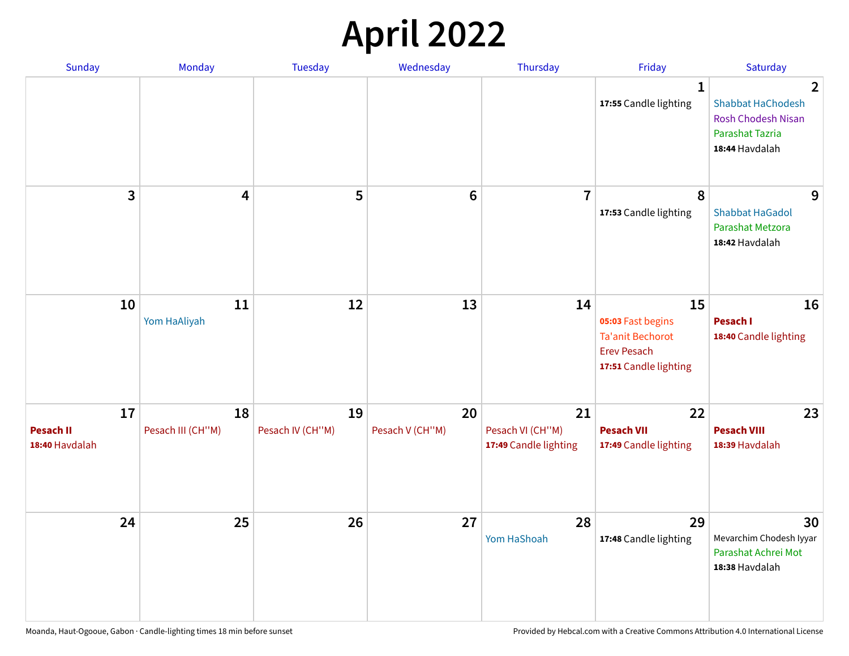## **April 2022**

| Sunday                                   | Monday                  | <b>Tuesday</b>         | Wednesday             | Thursday                                        | Friday                                                                                            | Saturday                                                                                                            |
|------------------------------------------|-------------------------|------------------------|-----------------------|-------------------------------------------------|---------------------------------------------------------------------------------------------------|---------------------------------------------------------------------------------------------------------------------|
|                                          |                         |                        |                       |                                                 | 1<br>17:55 Candle lighting                                                                        | $\overline{2}$<br><b>Shabbat HaChodesh</b><br><b>Rosh Chodesh Nisan</b><br><b>Parashat Tazria</b><br>18:44 Havdalah |
| 3                                        | $\overline{\mathbf{4}}$ | 5                      | $6\phantom{1}6$       | $\overline{7}$                                  | 8<br>17:53 Candle lighting                                                                        | 9<br><b>Shabbat HaGadol</b><br>Parashat Metzora<br>18:42 Havdalah                                                   |
| 10                                       | 11<br>Yom HaAliyah      | 12                     | 13                    | 14                                              | 15<br>05:03 Fast begins<br><b>Ta'anit Bechorot</b><br><b>Erev Pesach</b><br>17:51 Candle lighting | 16<br>Pesach I<br>18:40 Candle lighting                                                                             |
| 17<br><b>Pesach II</b><br>18:40 Havdalah | 18<br>Pesach III (CH"M) | 19<br>Pesach IV (CH"M) | 20<br>Pesach V (CH"M) | 21<br>Pesach VI (CH"M)<br>17:49 Candle lighting | 22<br><b>Pesach VII</b><br>17:49 Candle lighting                                                  | 23<br><b>Pesach VIII</b><br>18:39 Havdalah                                                                          |
| 24                                       | 25                      | 26                     | 27                    | 28<br>Yom HaShoah                               | 29<br>17:48 Candle lighting                                                                       | 30<br>Mevarchim Chodesh Iyyar<br>Parashat Achrei Mot<br>18:38 Havdalah                                              |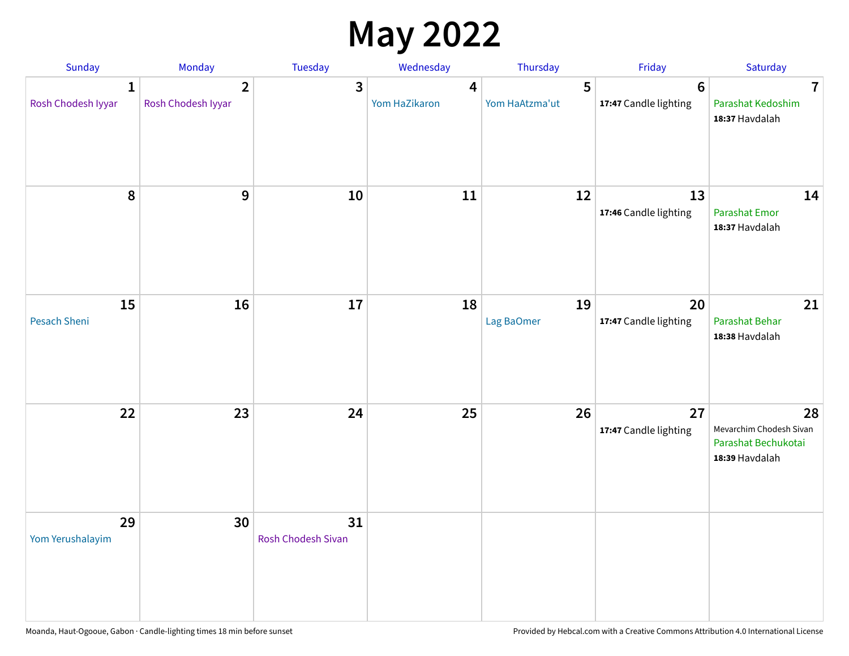## **May 2022**

| Sunday                  | Monday                               | Tuesday                         | Wednesday          | Thursday            | Friday                                  | Saturday                                                               |
|-------------------------|--------------------------------------|---------------------------------|--------------------|---------------------|-----------------------------------------|------------------------------------------------------------------------|
| 1<br>Rosh Chodesh Iyyar | $\overline{2}$<br>Rosh Chodesh Iyyar | 3                               | 4<br>Yom HaZikaron | 5<br>Yom HaAtzma'ut | $6\phantom{1}$<br>17:47 Candle lighting | $\overline{7}$<br>Parashat Kedoshim<br>18:37 Havdalah                  |
| $\pmb{8}$               | $\mathbf{9}$                         | 10                              | 11                 | 12                  | 13<br>17:46 Candle lighting             | 14<br><b>Parashat Emor</b><br>18:37 Havdalah                           |
| 15<br>Pesach Sheni      | 16                                   | 17                              | 18                 | 19<br>Lag BaOmer    | 20<br>17:47 Candle lighting             | 21<br>Parashat Behar<br>18:38 Havdalah                                 |
| 22                      | 23                                   | 24                              | 25                 | 26                  | 27<br>17:47 Candle lighting             | 28<br>Mevarchim Chodesh Sivan<br>Parashat Bechukotai<br>18:39 Havdalah |
| 29<br>Yom Yerushalayim  | 30                                   | 31<br><b>Rosh Chodesh Sivan</b> |                    |                     |                                         |                                                                        |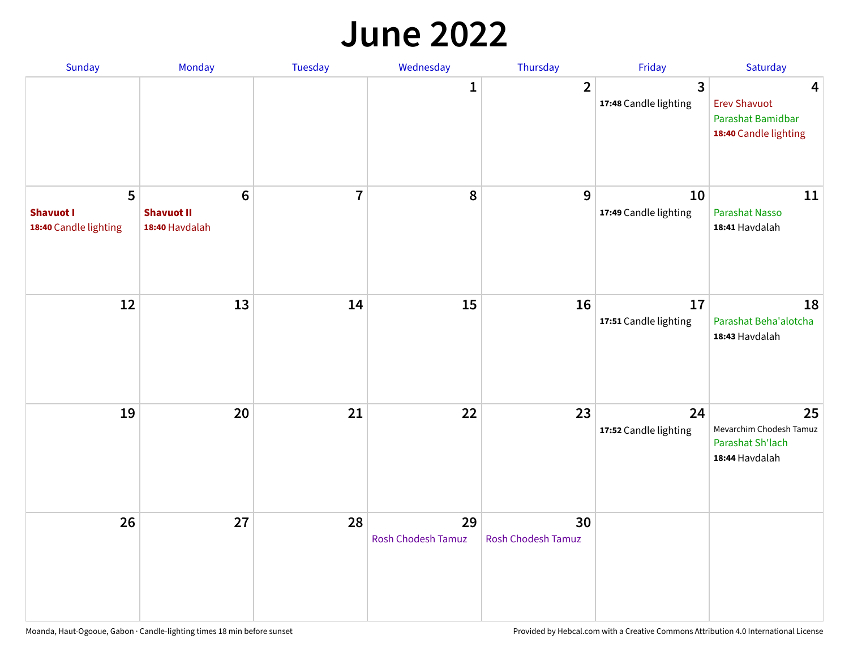#### **June 2022**

| Sunday                                         | Monday                                                | Tuesday        | Wednesday                       | Thursday                        | Friday                      | Saturday                                                               |
|------------------------------------------------|-------------------------------------------------------|----------------|---------------------------------|---------------------------------|-----------------------------|------------------------------------------------------------------------|
|                                                |                                                       |                | 1                               | $\overline{2}$                  | 3<br>17:48 Candle lighting  | 4<br><b>Erev Shavuot</b><br>Parashat Bamidbar<br>18:40 Candle lighting |
| 5<br><b>Shavuot I</b><br>18:40 Candle lighting | $6\phantom{1}$<br><b>Shavuot II</b><br>18:40 Havdalah | $\overline{7}$ | 8                               | 9                               | 10<br>17:49 Candle lighting | 11<br><b>Parashat Nasso</b><br>18:41 Havdalah                          |
| 12                                             | 13                                                    | 14             | 15                              | 16                              | 17<br>17:51 Candle lighting | 18<br>Parashat Beha'alotcha<br>18:43 Havdalah                          |
| 19                                             | 20                                                    | 21             | 22                              | 23                              | 24<br>17:52 Candle lighting | 25<br>Mevarchim Chodesh Tamuz<br>Parashat Sh'lach<br>18:44 Havdalah    |
| 26                                             | 27                                                    | 28             | 29<br><b>Rosh Chodesh Tamuz</b> | 30<br><b>Rosh Chodesh Tamuz</b> |                             |                                                                        |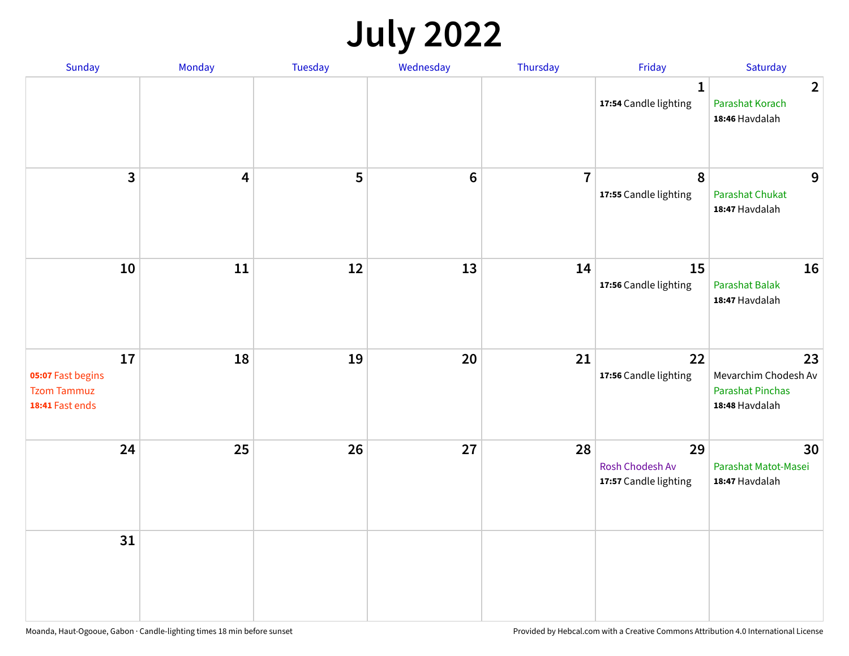## **July 2022**

| Sunday                                                           | Monday                  | Tuesday | Wednesday | Thursday       | Friday                                         | Saturday                                                                |
|------------------------------------------------------------------|-------------------------|---------|-----------|----------------|------------------------------------------------|-------------------------------------------------------------------------|
|                                                                  |                         |         |           |                | $\mathbf{1}$<br>17:54 Candle lighting          | $\overline{2}$<br>Parashat Korach<br>18:46 Havdalah                     |
| $\mathbf{3}$                                                     | $\overline{\mathbf{4}}$ | 5       | $\bf 6$   | $\overline{7}$ | $\pmb{8}$<br>17:55 Candle lighting             | 9<br>Parashat Chukat<br>18:47 Havdalah                                  |
| 10                                                               | 11                      | 12      | 13        | 14             | 15<br>17:56 Candle lighting                    | 16<br><b>Parashat Balak</b><br>18:47 Havdalah                           |
| 17<br>05:07 Fast begins<br><b>Tzom Tammuz</b><br>18:41 Fast ends | 18                      | 19      | 20        | 21             | 22<br>17:56 Candle lighting                    | 23<br>Mevarchim Chodesh Av<br><b>Parashat Pinchas</b><br>18:48 Havdalah |
| 24                                                               | 25                      | 26      | 27        | 28             | 29<br>Rosh Chodesh Av<br>17:57 Candle lighting | 30<br>Parashat Matot-Masei<br>18:47 Havdalah                            |
| 31                                                               |                         |         |           |                |                                                |                                                                         |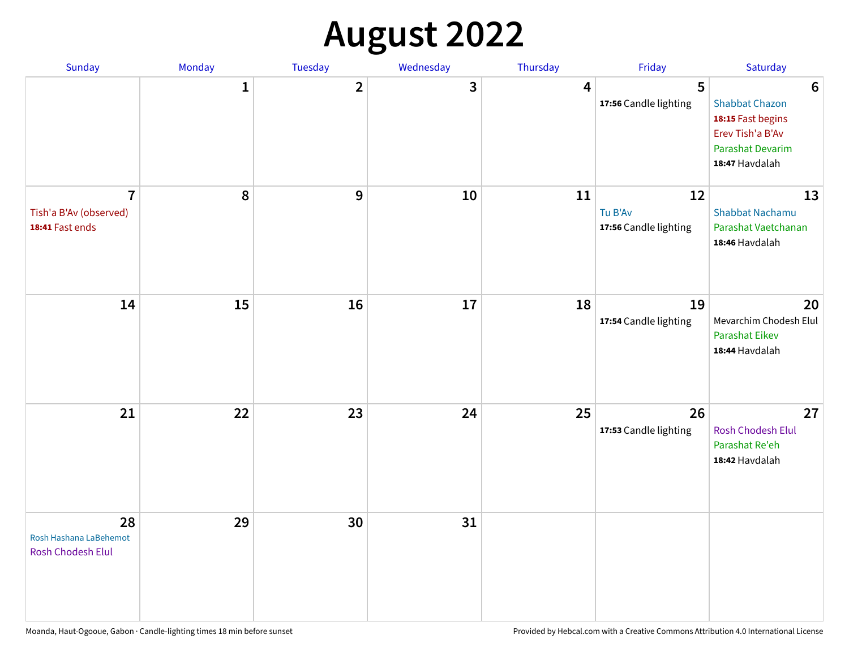## **August 2022**

| Sunday                                                      | Monday       | Tuesday      | Wednesday | Thursday | Friday                                 | Saturday                                                                                                                |
|-------------------------------------------------------------|--------------|--------------|-----------|----------|----------------------------------------|-------------------------------------------------------------------------------------------------------------------------|
|                                                             | $\mathbf{1}$ | $\mathbf{2}$ | 3         | 4        | 5<br>17:56 Candle lighting             | $6\phantom{1}6$<br><b>Shabbat Chazon</b><br>18:15 Fast begins<br>Erev Tish'a B'Av<br>Parashat Devarim<br>18:47 Havdalah |
| $\overline{7}$<br>Tish'a B'Av (observed)<br>18:41 Fast ends | 8            | 9            | 10        | 11       | 12<br>Tu B'Av<br>17:56 Candle lighting | 13<br><b>Shabbat Nachamu</b><br>Parashat Vaetchanan<br>18:46 Havdalah                                                   |
| 14                                                          | 15           | 16           | 17        | 18       | 19<br>17:54 Candle lighting            | 20<br>Mevarchim Chodesh Elul<br>Parashat Eikev<br>18:44 Havdalah                                                        |
| 21                                                          | 22           | 23           | 24        | 25       | 26<br>17:53 Candle lighting            | 27<br>Rosh Chodesh Elul<br>Parashat Re'eh<br>18:42 Havdalah                                                             |
| 28<br>Rosh Hashana LaBehemot<br>Rosh Chodesh Elul           | 29           | 30           | 31        |          |                                        |                                                                                                                         |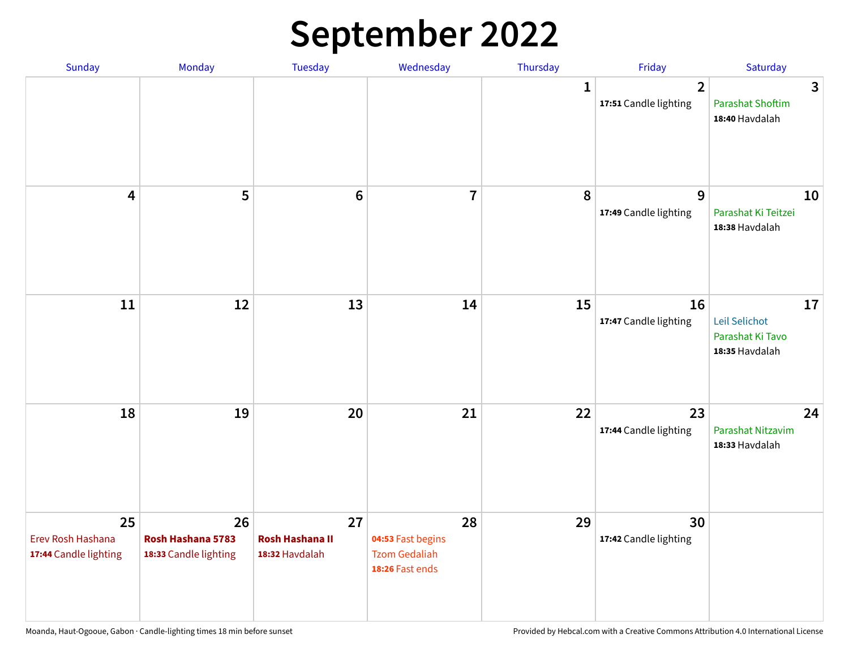## **September 2022**

| Sunday                                           | Monday                                           | Tuesday                                        | Wednesday                                                          | Thursday     | Friday                                  | Saturday                                                  |
|--------------------------------------------------|--------------------------------------------------|------------------------------------------------|--------------------------------------------------------------------|--------------|-----------------------------------------|-----------------------------------------------------------|
|                                                  |                                                  |                                                |                                                                    | $\mathbf{1}$ | $\overline{2}$<br>17:51 Candle lighting | 3<br><b>Parashat Shoftim</b><br>18:40 Havdalah            |
| $\overline{\mathbf{4}}$                          | 5                                                | $6\phantom{1}6$                                | $\overline{7}$                                                     | 8            | 9<br>17:49 Candle lighting              | 10<br>Parashat Ki Teitzei<br>18:38 Havdalah               |
| $11\,$                                           | 12                                               | 13                                             | 14                                                                 | 15           | 16<br>17:47 Candle lighting             | 17<br>Leil Selichot<br>Parashat Ki Tavo<br>18:35 Havdalah |
| 18                                               | 19                                               | 20                                             | 21                                                                 | 22           | 23<br>17:44 Candle lighting             | 24<br>Parashat Nitzavim<br>18:33 Havdalah                 |
| 25<br>Erev Rosh Hashana<br>17:44 Candle lighting | 26<br>Rosh Hashana 5783<br>18:33 Candle lighting | 27<br><b>Rosh Hashana II</b><br>18:32 Havdalah | 28<br>04:53 Fast begins<br><b>Tzom Gedaliah</b><br>18:26 Fast ends | 29           | 30<br>17:42 Candle lighting             |                                                           |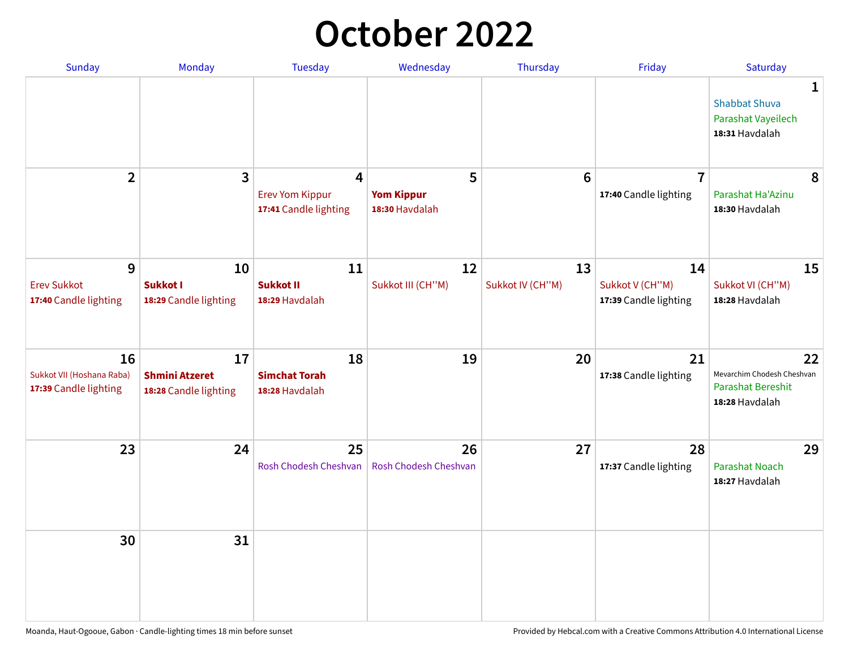## **October 2022**

| <b>Sunday</b>                                            | Monday                                               | <b>Tuesday</b>                                       | Wednesday                                | Thursday               | Friday                                         | Saturday                                                                       |
|----------------------------------------------------------|------------------------------------------------------|------------------------------------------------------|------------------------------------------|------------------------|------------------------------------------------|--------------------------------------------------------------------------------|
|                                                          |                                                      |                                                      |                                          |                        |                                                | $\mathbf{1}$<br><b>Shabbat Shuva</b><br>Parashat Vayeilech<br>18:31 Havdalah   |
| $\overline{2}$                                           | 3                                                    | 4<br><b>Erev Yom Kippur</b><br>17:41 Candle lighting | 5<br><b>Yom Kippur</b><br>18:30 Havdalah | 6                      | $\overline{7}$<br>17:40 Candle lighting        | 8<br>Parashat Ha'Azinu<br>18:30 Havdalah                                       |
| 9<br><b>Erev Sukkot</b><br>17:40 Candle lighting         | 10<br>Sukkot I<br>18:29 Candle lighting              | 11<br><b>Sukkot II</b><br>18:29 Havdalah             | 12<br>Sukkot III (CH"M)                  | 13<br>Sukkot IV (CH"M) | 14<br>Sukkot V (CH"M)<br>17:39 Candle lighting | 15<br>Sukkot VI (CH"M)<br>18:28 Havdalah                                       |
| 16<br>Sukkot VII (Hoshana Raba)<br>17:39 Candle lighting | 17<br><b>Shmini Atzeret</b><br>18:28 Candle lighting | 18<br><b>Simchat Torah</b><br>18:28 Havdalah         | 19                                       | 20                     | 21<br>17:38 Candle lighting                    | 22<br>Mevarchim Chodesh Cheshvan<br><b>Parashat Bereshit</b><br>18:28 Havdalah |
| 23                                                       | 24                                                   | 25<br>Rosh Chodesh Cheshvan                          | 26<br>Rosh Chodesh Cheshvan              | 27                     | 28<br>17:37 Candle lighting                    | 29<br><b>Parashat Noach</b><br>18:27 Havdalah                                  |
| 30                                                       | 31                                                   |                                                      |                                          |                        |                                                |                                                                                |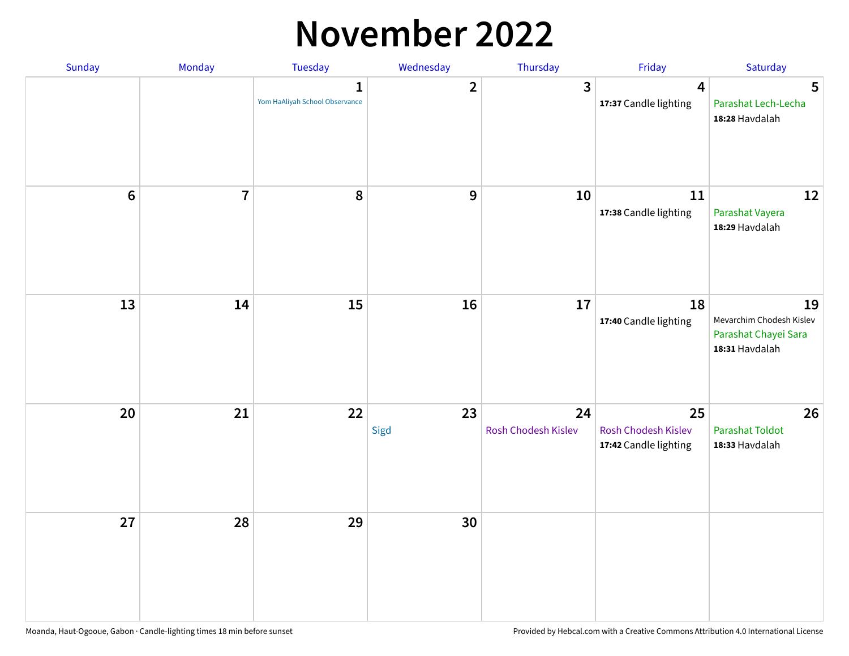## **November 2022**

| Sunday         | Monday         | <b>Tuesday</b>                                 | Wednesday               | Thursday                  | Friday                                             | Saturday                                                                 |
|----------------|----------------|------------------------------------------------|-------------------------|---------------------------|----------------------------------------------------|--------------------------------------------------------------------------|
|                |                | $\mathbf{1}$<br>Yom HaAliyah School Observance | $\overline{\mathbf{2}}$ | $\mathbf{3}$              | $\overline{\mathbf{4}}$<br>17:37 Candle lighting   | 5<br>Parashat Lech-Lecha<br>18:28 Havdalah                               |
| $6\phantom{a}$ | $\overline{7}$ | 8                                              | $\boldsymbol{9}$        | 10                        | 11<br>17:38 Candle lighting                        | 12<br>Parashat Vayera<br>18:29 Havdalah                                  |
| 13             | 14             | 15                                             | 16                      | 17                        | 18<br>17:40 Candle lighting                        | 19<br>Mevarchim Chodesh Kislev<br>Parashat Chayei Sara<br>18:31 Havdalah |
| 20             | 21             | 22                                             | 23<br>Sigd              | 24<br>Rosh Chodesh Kislev | 25<br>Rosh Chodesh Kislev<br>17:42 Candle lighting | 26<br><b>Parashat Toldot</b><br>18:33 Havdalah                           |
| 27             | 28             | 29                                             | 30                      |                           |                                                    |                                                                          |